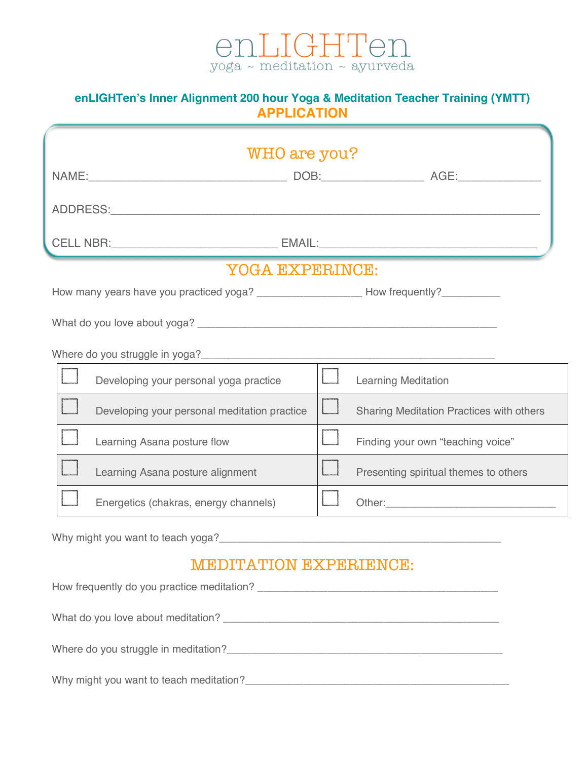

## **enLIGHTen's Inner Alignment 200 hour Yoga & Meditation Teacher Training (YMTT) APPLICATION**

| WHO are you?                                 |                                                           |
|----------------------------------------------|-----------------------------------------------------------|
|                                              |                                                           |
|                                              |                                                           |
|                                              |                                                           |
|                                              |                                                           |
| YOGA EXPERINCE:                              |                                                           |
|                                              |                                                           |
|                                              |                                                           |
|                                              |                                                           |
| Developing your personal yoga practice       | $\Box$<br><b>Learning Meditation</b>                      |
| Developing your personal meditation practice | $\Box$<br><b>Sharing Meditation Practices with others</b> |
| Learning Asana posture flow                  | Finding your own "teaching voice"                         |
| Learning Asana posture alignment             | Presenting spiritual themes to others                     |
| Energetics (chakras, energy channels)        |                                                           |
|                                              |                                                           |
| <b>MEDITATION EXPERIENCE:</b>                |                                                           |
| How frequently do you practice meditation?   |                                                           |
| What do you love about meditation?           |                                                           |

Where do you struggle in meditation?\_\_\_\_\_\_\_\_\_\_\_\_\_\_\_\_\_\_\_\_\_\_\_\_\_\_\_\_\_\_\_\_\_\_\_\_\_\_\_\_\_\_\_\_\_\_\_

Why might you want to teach meditation?\_\_\_\_\_\_\_\_\_\_\_\_\_\_\_\_\_\_\_\_\_\_\_\_\_\_\_\_\_\_\_\_\_\_\_\_\_\_\_\_\_\_\_\_\_